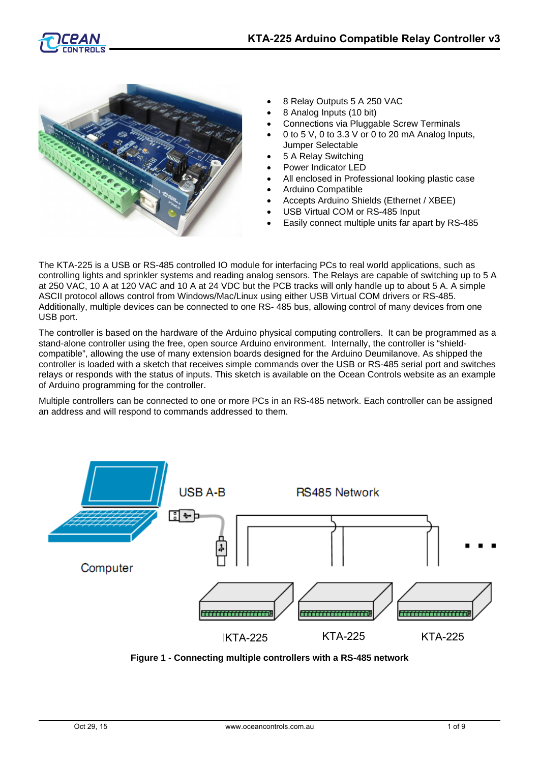



- 8 Relay Outputs 5 A 250 VAC
- 8 Analog Inputs (10 bit)
- Connections via Pluggable Screw Terminals
- 0 to 5 V, 0 to 3.3 V or 0 to 20 mA Analog Inputs, Jumper Selectable
- 5 A Relay Switching
- Power Indicator LED
- All enclosed in Professional looking plastic case
- Arduino Compatible
- Accepts Arduino Shields (Ethernet / XBEE)
- USB Virtual COM or RS-485 Input
- Easily connect multiple units far apart by RS-485

The KTA-225 is a USB or RS-485 controlled IO module for interfacing PCs to real world applications, such as controlling lights and sprinkler systems and reading analog sensors. The Relays are capable of switching up to 5 A at 250 VAC, 10 A at 120 VAC and 10 A at 24 VDC but the PCB tracks will only handle up to about 5 A. A simple ASCII protocol allows control from Windows/Mac/Linux using either USB Virtual COM drivers or RS-485. Additionally, multiple devices can be connected to one RS- 485 bus, allowing control of many devices from one USB port.

The controller is based on the hardware of the Arduino physical computing controllers. It can be programmed as a stand-alone controller using the free, open source Arduino environment. Internally, the controller is "shieldcompatible", allowing the use of many extension boards designed for the Arduino Deumilanove. As shipped the controller is loaded with a sketch that receives simple commands over the USB or RS-485 serial port and switches relays or responds with the status of inputs. This sketch is available on the Ocean Controls website as an example of Arduino programming for the controller.

Multiple controllers can be connected to one or more PCs in an RS-485 network. Each controller can be assigned an address and will respond to commands addressed to them.



**Figure 1 - Connecting multiple controllers with a RS-485 network**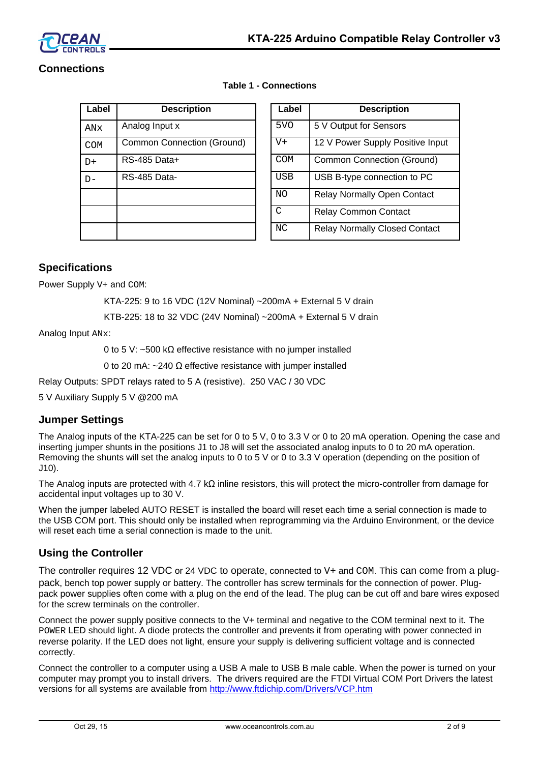

# **Connections**

| Label      | <b>Description</b>                | Label           | <b>Description</b>                 |
|------------|-----------------------------------|-----------------|------------------------------------|
| ANx        | Analog Input x                    | 5 <sub>VO</sub> | 5 V Output for Sensors             |
| <b>COM</b> | <b>Common Connection (Ground)</b> | $V +$           | 12 V Power Supply Positive Inp     |
| $D+$       | RS-485 Data+                      | <b>COM</b>      | <b>Common Connection (Ground)</b>  |
| $D -$      | RS-485 Data-                      | <b>USB</b>      | USB B-type connection to PC        |
|            |                                   | N <sub>O</sub>  | <b>Relay Normally Open Contact</b> |
|            |                                   | C               | <b>Relay Common Contact</b>        |
|            |                                   | NC              | Relay Normally Closed Contac       |

| Label<br><b>Description</b><br>Label<br><b>Description</b>                            |  |
|---------------------------------------------------------------------------------------|--|
|                                                                                       |  |
| 5 <sub>V</sub> O<br>5 V Output for Sensors<br>Analog Input x<br>ANx                   |  |
| $V +$<br><b>Common Connection (Ground)</b><br>12 V Power Supply Positive Input<br>COM |  |
| RS-485 Data+<br><b>COM</b><br><b>Common Connection (Ground)</b><br>D+                 |  |
| <b>USB</b><br>USB B-type connection to PC<br>RS-485 Data-<br>$D -$                    |  |
| NO.<br><b>Relay Normally Open Contact</b>                                             |  |
| C<br><b>Relay Common Contact</b>                                                      |  |
| NC<br><b>Relay Normally Closed Contact</b>                                            |  |

# **Specifications**

Power Supply  $V+$  and COM:

KTA-225: 9 to 16 VDC (12V Nominal) ~200mA + External 5 V drain

KTB-225: 18 to 32 VDC (24V Nominal) ~200mA + External 5 V drain

**Table 1 - Connections**

Analog Input ANx:

0 to 5 V: ~500 kΩ effective resistance with no jumper installed

0 to 20 mA:  $\sim$ 240  $\Omega$  effective resistance with jumper installed

Relay Outputs: SPDT relays rated to 5 A (resistive). 250 VAC / 30 VDC

5 V Auxiliary Supply 5 V @200 mA

# **Jumper Settings**

The Analog inputs of the KTA-225 can be set for 0 to 5 V, 0 to 3.3 V or 0 to 20 mA operation. Opening the case and inserting jumper shunts in the positions J1 to J8 will set the associated analog inputs to 0 to 20 mA operation. Removing the shunts will set the analog inputs to 0 to 5 V or 0 to 3.3 V operation (depending on the position of J10).

The Analog inputs are protected with 4.7 kΩ inline resistors, this will protect the micro-controller from damage for accidental input voltages up to 30 V.

When the jumper labeled AUTO RESET is installed the board will reset each time a serial connection is made to the USB COM port. This should only be installed when reprogramming via the Arduino Environment, or the device will reset each time a serial connection is made to the unit.

# **Using the Controller**

The controller requires 12 VDC or 24 VDC to operate, connected to V+ and COM. This can come from a plugpack, bench top power supply or battery. The controller has screw terminals for the connection of power. Plugpack power supplies often come with a plug on the end of the lead. The plug can be cut off and bare wires exposed for the screw terminals on the controller.

Connect the power supply positive connects to the V+ terminal and negative to the COM terminal next to it. The POWER LED should light. A diode protects the controller and prevents it from operating with power connected in reverse polarity. If the LED does not light, ensure your supply is delivering sufficient voltage and is connected correctly.

Connect the controller to a computer using a USB A male to USB B male cable. When the power is turned on your computer may prompt you to install drivers. The drivers required are the FTDI Virtual COM Port Drivers the latest versions for all systems are available from<http://www.ftdichip.com/Drivers/VCP.htm>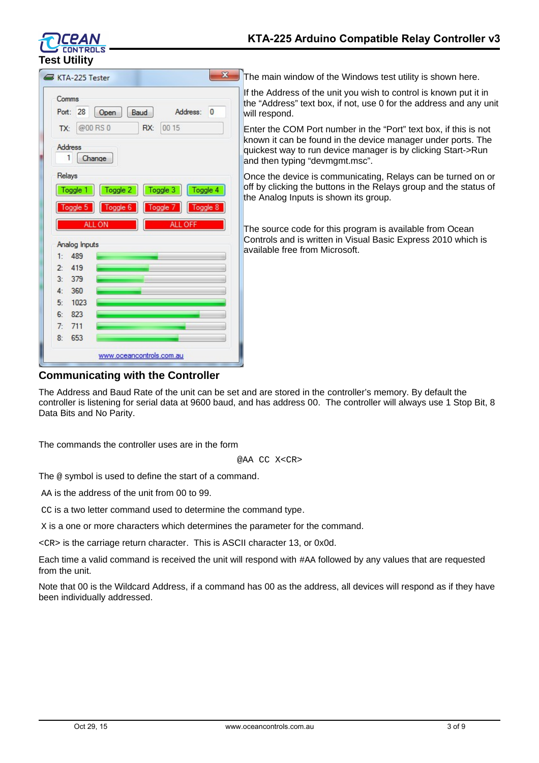

#### $\overline{\mathbf{x}}$ KTA-225 Tester Comms Port: 28 Open Baud Address:  $\overline{0}$  $@00RS0$ RX: 00 15 TX: Address 1 Change Relays Toggle 1 Toggle 2 Toggle 3 Toggle 4 Toggle 5 Toggle 8 ALL ON Analog Inputs 489  $1:$ 419  $2 3:$ 379  $\mathbf{A}$  $360$  $5<sup>1</sup>$ 1023  $6:$ 823  $7<sup>2</sup>$  $711$  $8:$ 653 www.oceancontrols.com.au

The main window of the Windows test utility is shown here.

If the Address of the unit you wish to control is known put it in the "Address" text box, if not, use 0 for the address and any unit will respond.

Enter the COM Port number in the "Port" text box, if this is not known it can be found in the device manager under ports. The quickest way to run device manager is by clicking Start->Run and then typing "devmgmt.msc".

Once the device is communicating, Relays can be turned on or off by clicking the buttons in the Relays group and the status of the Analog Inputs is shown its group.

The source code for this program is available from Ocean Controls and is written in Visual Basic Express 2010 which is available free from Microsoft.

# **Communicating with the Controller**

The Address and Baud Rate of the unit can be set and are stored in the controller's memory. By default the controller is listening for serial data at 9600 baud, and has address 00. The controller will always use 1 Stop Bit, 8 Data Bits and No Parity.

The commands the controller uses are in the form

@AA CC X<CR>

The @ symbol is used to define the start of a command.

AA is the address of the unit from 00 to 99.

CC is a two letter command used to determine the command type.

X is a one or more characters which determines the parameter for the command.

<CR> is the carriage return character. This is ASCII character 13, or 0x0d.

Each time a valid command is received the unit will respond with #AA followed by any values that are requested from the unit.

Note that 00 is the Wildcard Address, if a command has 00 as the address, all devices will respond as if they have been individually addressed.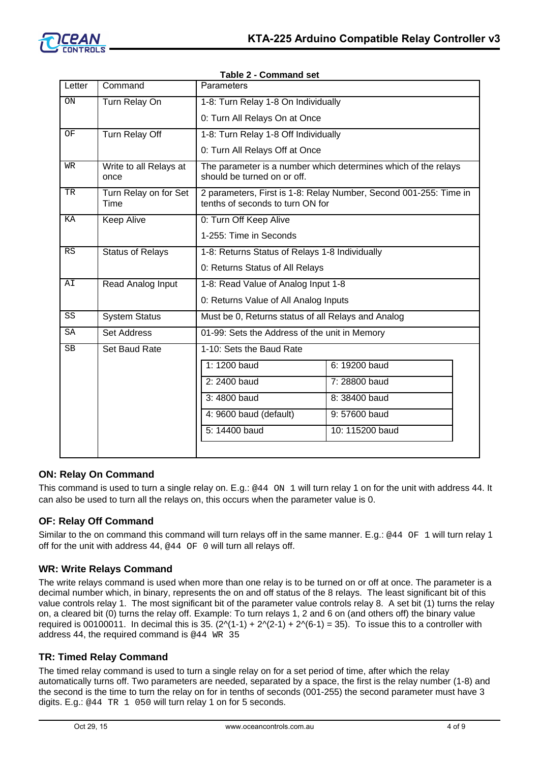

| Letter    | Command                        | <b>Parameters</b>                                                                                     |                 |  |
|-----------|--------------------------------|-------------------------------------------------------------------------------------------------------|-----------------|--|
| <b>ON</b> | Turn Relay On                  | 1-8: Turn Relay 1-8 On Individually                                                                   |                 |  |
|           |                                | 0: Turn All Relays On at Once                                                                         |                 |  |
| OF        | Turn Relay Off                 | 1-8: Turn Relay 1-8 Off Individually                                                                  |                 |  |
|           |                                | 0: Turn All Relays Off at Once                                                                        |                 |  |
| WR        | Write to all Relays at<br>once | The parameter is a number which determines which of the relays<br>should be turned on or off.         |                 |  |
| TR        | Turn Relay on for Set<br>Time  | 2 parameters, First is 1-8: Relay Number, Second 001-255: Time in<br>tenths of seconds to turn ON for |                 |  |
| ΚA        | <b>Keep Alive</b>              | 0: Turn Off Keep Alive                                                                                |                 |  |
|           |                                | 1-255: Time in Seconds                                                                                |                 |  |
| RS        | <b>Status of Relays</b>        | 1-8: Returns Status of Relays 1-8 Individually                                                        |                 |  |
|           |                                | 0: Returns Status of All Relays                                                                       |                 |  |
| AI        | Read Analog Input              | 1-8: Read Value of Analog Input 1-8                                                                   |                 |  |
|           |                                | 0: Returns Value of All Analog Inputs                                                                 |                 |  |
| SS        | <b>System Status</b>           | Must be 0, Returns status of all Relays and Analog                                                    |                 |  |
| SA        | <b>Set Address</b>             | 01-99: Sets the Address of the unit in Memory                                                         |                 |  |
| SB        | Set Baud Rate                  | 1-10: Sets the Baud Rate                                                                              |                 |  |
|           |                                | 1: 1200 baud                                                                                          | 6: 19200 baud   |  |
|           |                                | 2: 2400 baud                                                                                          | 7: 28800 baud   |  |
|           |                                | 3: 4800 baud                                                                                          | 8: 38400 baud   |  |
|           |                                | 4: 9600 baud (default)                                                                                | 9:57600 baud    |  |
|           |                                | 5: 14400 baud                                                                                         | 10: 115200 baud |  |
|           |                                |                                                                                                       |                 |  |

#### **Table 2 - Command set**

#### **ON: Relay On Command**

This command is used to turn a single relay on. E.g.: @44 ON 1 will turn relay 1 on for the unit with address 44. It can also be used to turn all the relays on, this occurs when the parameter value is 0.

#### **OF: Relay Off Command**

Similar to the on command this command will turn relays off in the same manner. E.g.: @44 OF 1 will turn relay 1 off for the unit with address 44, @44 OF 0 will turn all relays off.

#### **WR: Write Relays Command**

The write relays command is used when more than one relay is to be turned on or off at once. The parameter is a decimal number which, in binary, represents the on and off status of the 8 relays. The least significant bit of this value controls relay 1. The most significant bit of the parameter value controls relay 8. A set bit (1) turns the relay on, a cleared bit (0) turns the relay off. Example: To turn relays 1, 2 and 6 on (and others off) the binary value required is 00100011. In decimal this is 35.  $(2\sqrt{1-1}) + 2\sqrt{2-1} + 2\sqrt{6-1} = 35$ . To issue this to a controller with address 44, the required command is  $@44$  WR 35

#### **TR: Timed Relay Command**

The timed relay command is used to turn a single relay on for a set period of time, after which the relay automatically turns off. Two parameters are needed, separated by a space, the first is the relay number (1-8) and the second is the time to turn the relay on for in tenths of seconds (001-255) the second parameter must have 3 digits. E.g.: @44 TR 1 050 will turn relay 1 on for 5 seconds.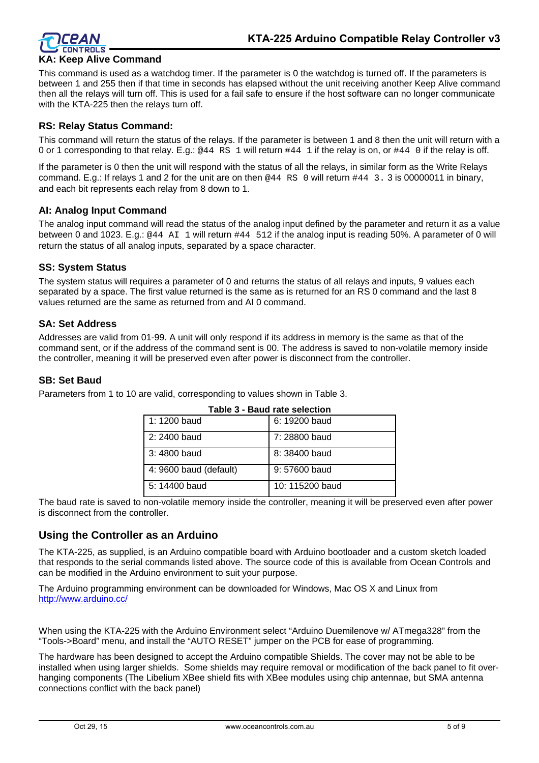

## **KA: Keep Alive Command**

This command is used as a watchdog timer. If the parameter is 0 the watchdog is turned off. If the parameters is between 1 and 255 then if that time in seconds has elapsed without the unit receiving another Keep Alive command then all the relays will turn off. This is used for a fail safe to ensure if the host software can no longer communicate with the KTA-225 then the relays turn off.

#### **RS: Relay Status Command:**

This command will return the status of the relays. If the parameter is between 1 and 8 then the unit will return with a 0 or 1 corresponding to that relay. E.g.: @44 RS 1 will return #44 1 if the relay is on, or #44 0 if the relay is off.

If the parameter is 0 then the unit will respond with the status of all the relays, in similar form as the Write Relays command. E.g.: If relays 1 and 2 for the unit are on then @44 RS 0 will return #44 3. 3 is 00000011 in binary, and each bit represents each relay from 8 down to 1.

#### **AI: Analog Input Command**

The analog input command will read the status of the analog input defined by the parameter and return it as a value between 0 and 1023. E.g.: @44 AI 1 will return #44 512 if the analog input is reading 50%. A parameter of 0 will return the status of all analog inputs, separated by a space character.

#### **SS: System Status**

The system status will requires a parameter of 0 and returns the status of all relays and inputs, 9 values each separated by a space. The first value returned is the same as is returned for an RS 0 command and the last 8 values returned are the same as returned from and AI 0 command.

#### **SA: Set Address**

Addresses are valid from 01-99. A unit will only respond if its address in memory is the same as that of the command sent, or if the address of the command sent is 00. The address is saved to non-volatile memory inside the controller, meaning it will be preserved even after power is disconnect from the controller.

#### **SB: Set Baud**

| Table 3 - Baud rate selection |                  |  |
|-------------------------------|------------------|--|
| 1:1200 baud                   | 6: 19200 baud    |  |
| 2: 2400 baud                  | 7: 28800 baud    |  |
| 3:4800 baud                   | 8: 38400 baud    |  |
| 4: 9600 baud (default)        | $9:57600$ baud   |  |
| 5: 14400 baud                 | $10:115200$ baud |  |

Parameters from 1 to 10 are valid, corresponding to values shown in Table 3.

The baud rate is saved to non-volatile memory inside the controller, meaning it will be preserved even after power is disconnect from the controller.

### **Using the Controller as an Arduino**

The KTA-225, as supplied, is an Arduino compatible board with Arduino bootloader and a custom sketch loaded that responds to the serial commands listed above. The source code of this is available from Ocean Controls and can be modified in the Arduino environment to suit your purpose.

The Arduino programming environment can be downloaded for Windows, Mac OS X and Linux from <http://www.arduino.cc/>

When using the KTA-225 with the Arduino Environment select "Arduino Duemilenove w/ ATmega328" from the "Tools->Board" menu, and install the "AUTO RESET" jumper on the PCB for ease of programming.

The hardware has been designed to accept the Arduino compatible Shields. The cover may not be able to be installed when using larger shields. Some shields may require removal or modification of the back panel to fit overhanging components (The Libelium XBee shield fits with XBee modules using chip antennae, but SMA antenna connections conflict with the back panel)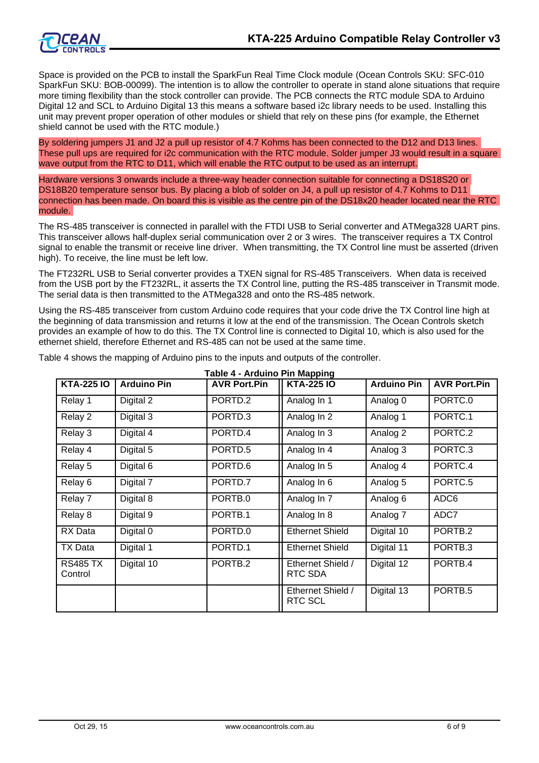

Space is provided on the PCB to install the SparkFun Real Time Clock module (Ocean Controls SKU: SFC-010 SparkFun SKU: BOB-00099). The intention is to allow the controller to operate in stand alone situations that require more timing flexibility than the stock controller can provide. The PCB connects the RTC module SDA to Arduino Digital 12 and SCL to Arduino Digital 13 this means a software based i2c library needs to be used. Installing this unit may prevent proper operation of other modules or shield that rely on these pins (for example, the Ethernet shield cannot be used with the RTC module.)

By soldering jumpers J1 and J2 a pull up resistor of 4.7 Kohms has been connected to the D12 and D13 lines. These pull ups are required for i2c communication with the RTC module. Solder jumper J3 would result in a square wave output from the RTC to D11, which will enable the RTC output to be used as an interrupt.

Hardware versions 3 onwards include a three-way header connection suitable for connecting a DS18S20 or DS18B20 temperature sensor bus. By placing a blob of solder on J4, a pull up resistor of 4.7 Kohms to D11 connection has been made. On board this is visible as the centre pin of the DS18x20 header located near the RTC module.

The RS-485 transceiver is connected in parallel with the FTDI USB to Serial converter and ATMega328 UART pins. This transceiver allows half-duplex serial communication over 2 or 3 wires. The transceiver requires a TX Control signal to enable the transmit or receive line driver. When transmitting, the TX Control line must be asserted (driven high). To receive, the line must be left low.

The FT232RL USB to Serial converter provides a TXEN signal for RS-485 Transceivers. When data is received from the USB port by the FT232RL, it asserts the TX Control line, putting the RS-485 transceiver in Transmit mode. The serial data is then transmitted to the ATMega328 and onto the RS-485 network.

Using the RS-485 transceiver from custom Arduino code requires that your code drive the TX Control line high at the beginning of data transmission and returns it low at the end of the transmission. The Ocean Controls sketch provides an example of how to do this. The TX Control line is connected to Digital 10, which is also used for the ethernet shield, therefore Ethernet and RS-485 can not be used at the same time.

| Table 4 - Arduino Pin Mapping |                    |                     |                                     |                    |                     |
|-------------------------------|--------------------|---------------------|-------------------------------------|--------------------|---------------------|
| <b>KTA-225 IO</b>             | <b>Arduino Pin</b> | <b>AVR Port.Pin</b> | <b>KTA-225 IO</b>                   | <b>Arduino Pin</b> | <b>AVR Port.Pin</b> |
| Relay 1                       | Digital 2          | PORTD.2             | Analog In 1                         | Analog 0           | PORTC.0             |
| Relay 2                       | Digital 3          | PORTD.3             | Analog In 2                         | Analog 1           | PORTC.1             |
| Relay 3                       | Digital 4          | PORTD.4             | Analog In 3                         | Analog 2           | PORTC.2             |
| Relay 4                       | Digital 5          | PORTD <sub>.5</sub> | Analog In 4                         | Analog 3           | PORTC.3             |
| Relay 5                       | Digital 6          | PORTD.6             | Analog In 5                         | Analog 4           | PORTC.4             |
| Relay 6                       | Digital 7          | PORTD.7             | Analog In 6                         | Analog 5           | PORTC <sub>.5</sub> |
| Relay 7                       | Digital 8          | PORTB.0             | Analog In 7                         | Analog 6           | ADC6                |
| Relay 8                       | Digital 9          | PORTB.1             | Analog In 8                         | Analog 7           | ADC7                |
| RX Data                       | Digital 0          | PORTD.0             | <b>Ethernet Shield</b>              | Digital 10         | PORTB.2             |
| TX Data                       | Digital 1          | PORTD.1             | <b>Ethernet Shield</b>              | Digital 11         | PORTB.3             |
| <b>RS485 TX</b><br>Control    | Digital 10         | PORTB.2             | Ethernet Shield /<br>RTC SDA        | Digital 12         | PORTB.4             |
|                               |                    |                     | Ethernet Shield /<br><b>RTC SCL</b> | Digital 13         | PORTB.5             |

Table 4 shows the mapping of Arduino pins to the inputs and outputs of the controller.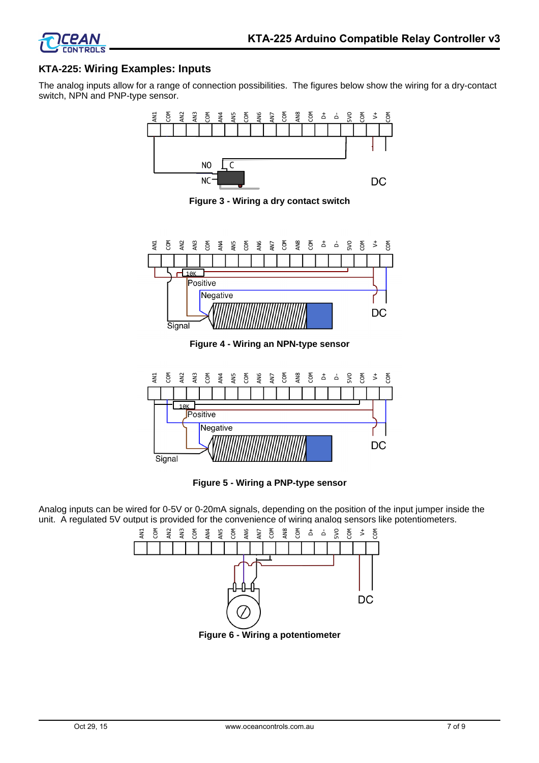



### **KTA-225: Wiring Examples: Inputs**

The analog inputs allow for a range of connection possibilities. The figures below show the wiring for a dry-contact switch, NPN and PNP-type sensor.



**Figure 3 - Wiring a dry contact switch**



**Figure 4 - Wiring an NPN-type sensor**



**Figure 5 - Wiring a PNP-type sensor**

Analog inputs can be wired for 0-5V or 0-20mA signals, depending on the position of the input jumper inside the unit. A regulated 5V output is provided for the convenience of wiring analog sensors like potentiometers.

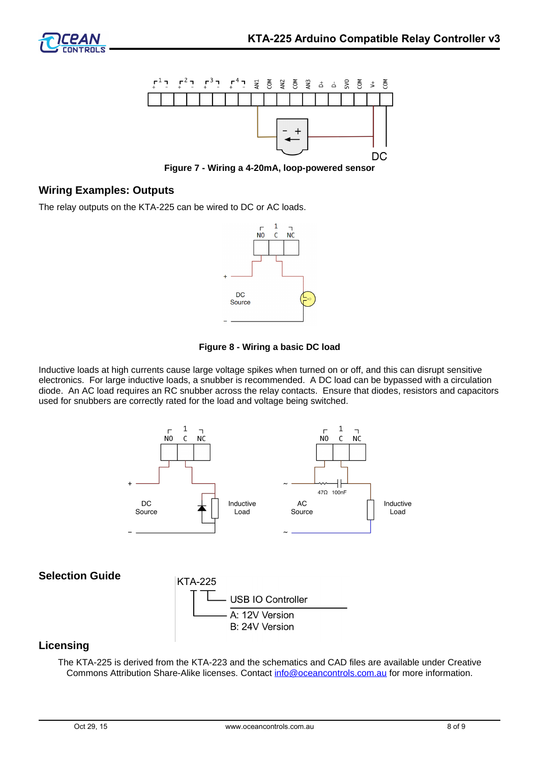

**Figure 7 - Wiring a 4-20mA, loop-powered sensor**

# **Wiring Examples: Outputs**

The relay outputs on the KTA-225 can be wired to DC or AC loads.





Inductive loads at high currents cause large voltage spikes when turned on or off, and this can disrupt sensitive electronics. For large inductive loads, a snubber is recommended. A DC load can be bypassed with a circulation diode. An AC load requires an RC snubber across the relay contacts. Ensure that diodes, resistors and capacitors used for snubbers are correctly rated for the load and voltage being switched.



#### **Licensing**

The KTA-225 is derived from the KTA-223 and the schematics and CAD files are available under Creative Commons Attribution Share-Alike licenses. Contact [info@oceancontrols.com.au](mailto:info@oceancontrols.com.au) for more information.